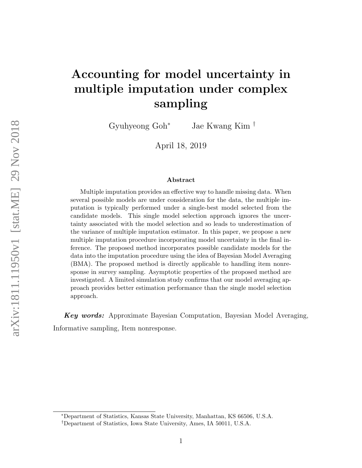# Accounting for model uncertainty in multiple imputation under complex sampling

Gyuhyeong Goh<sup>∗</sup> Jae Kwang Kim †

April 18, 2019

#### Abstract

Multiple imputation provides an effective way to handle missing data. When several possible models are under consideration for the data, the multiple imputation is typically performed under a single-best model selected from the candidate models. This single model selection approach ignores the uncertainty associated with the model selection and so leads to underestimation of the variance of multiple imputation estimator. In this paper, we propose a new multiple imputation procedure incorporating model uncertainty in the final inference. The proposed method incorporates possible candidate models for the data into the imputation procedure using the idea of Bayesian Model Averaging (BMA). The proposed method is directly applicable to handling item nonresponse in survey sampling. Asymptotic properties of the proposed method are investigated. A limited simulation study confirms that our model averaging approach provides better estimation performance than the single model selection approach.

Key words: Approximate Bayesian Computation, Bayesian Model Averaging, Informative sampling, Item nonresponse.

<sup>∗</sup>Department of Statistics, Kansas State University, Manhattan, KS 66506, U.S.A.

<sup>†</sup>Department of Statistics, Iowa State University, Ames, IA 50011, U.S.A.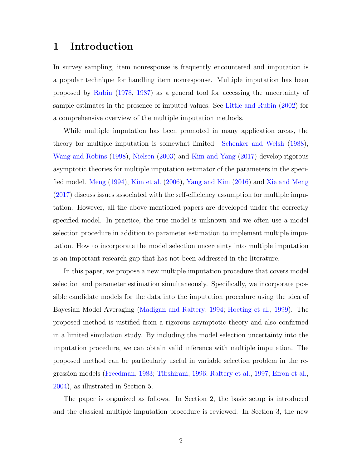# 1 Introduction

In survey sampling, item nonresponse is frequently encountered and imputation is a popular technique for handling item nonresponse. Multiple imputation has been proposed by [Rubin](#page-21-0) [\(1978,](#page-21-0) [1987\)](#page-21-0) as a general tool for accessing the uncertainty of sample estimates in the presence of imputed values. See [Little and Rubin](#page-21-0) [\(2002\)](#page-21-0) for a comprehensive overview of the multiple imputation methods.

While multiple imputation has been promoted in many application areas, the theory for multiple imputation is somewhat limited. [Schenker and Welsh](#page-22-0) [\(1988\)](#page-22-0), [Wang and Robins](#page-22-0) [\(1998\)](#page-22-0), [Nielsen](#page-21-0) [\(2003\)](#page-21-0) and [Kim and Yang](#page-21-0) [\(2017\)](#page-21-0) develop rigorous asymptotic theories for multiple imputation estimator of the parameters in the specified model. [Meng](#page-21-0) [\(1994\)](#page-21-0), [Kim et al.](#page-21-0) [\(2006\)](#page-21-0), [Yang and Kim](#page-22-0) [\(2016\)](#page-22-0) and [Xie and Meng](#page-22-0) [\(2017\)](#page-22-0) discuss issues associated with the self-efficiency assumption for multiple imputation. However, all the above mentioned papers are developed under the correctly specified model. In practice, the true model is unknown and we often use a model selection procedure in addition to parameter estimation to implement multiple imputation. How to incorporate the model selection uncertainty into multiple imputation is an important research gap that has not been addressed in the literature.

In this paper, we propose a new multiple imputation procedure that covers model selection and parameter estimation simultaneously. Specifically, we incorporate possible candidate models for the data into the imputation procedure using the idea of Bayesian Model Averaging [\(Madigan and Raftery,](#page-21-0) [1994;](#page-21-0) [Hoeting et al.,](#page-20-0) [1999\)](#page-20-0). The proposed method is justified from a rigorous asymptotic theory and also confirmed in a limited simulation study. By including the model selection uncertainty into the imputation procedure, we can obtain valid inference with multiple imputation. The proposed method can be particularly useful in variable selection problem in the regression models [\(Freedman,](#page-20-0) [1983;](#page-20-0) [Tibshirani,](#page-22-0) [1996;](#page-22-0) [Raftery et al.,](#page-21-0) [1997;](#page-21-0) [Efron et al.,](#page-20-0) [2004\)](#page-20-0), as illustrated in Section 5.

The paper is organized as follows. In Section 2, the basic setup is introduced and the classical multiple imputation procedure is reviewed. In Section 3, the new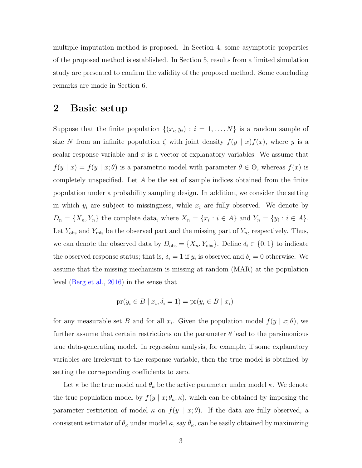multiple imputation method is proposed. In Section 4, some asymptotic properties of the proposed method is established. In Section 5, results from a limited simulation study are presented to confirm the validity of the proposed method. Some concluding remarks are made in Section 6.

# 2 Basic setup

Suppose that the finite population  $\{(x_i, y_i) : i = 1, \ldots, N\}$  is a random sample of size N from an infinite population  $\zeta$  with joint density  $f(y | x) f(x)$ , where y is a scalar response variable and  $x$  is a vector of explanatory variables. We assume that  $f(y | x) = f(y | x; \theta)$  is a parametric model with parameter  $\theta \in \Theta$ , whereas  $f(x)$  is completely unspecified. Let A be the set of sample indices obtained from the finite population under a probability sampling design. In addition, we consider the setting in which  $y_i$  are subject to missingness, while  $x_i$  are fully observed. We denote by  $D_n = \{X_n, Y_n\}$  the complete data, where  $X_n = \{x_i : i \in A\}$  and  $Y_n = \{y_i : i \in A\}$ . Let  $Y_{\text{obs}}$  and  $Y_{\text{mis}}$  be the observed part and the missing part of  $Y_n$ , respectively. Thus, we can denote the observed data by  $D_{obs} = \{X_n, Y_{obs}\}.$  Define  $\delta_i \in \{0, 1\}$  to indicate the observed response status; that is,  $\delta_i = 1$  if  $y_i$  is observed and  $\delta_i = 0$  otherwise. We assume that the missing mechanism is missing at random (MAR) at the population level [\(Berg et al.,](#page-20-0) [2016\)](#page-20-0) in the sense that

$$
\operatorname{pr}(y_i \in B \mid x_i, \delta_i = 1) = \operatorname{pr}(y_i \in B \mid x_i)
$$

for any measurable set B and for all  $x_i$ . Given the population model  $f(y | x; \theta)$ , we further assume that certain restrictions on the parameter  $\theta$  lead to the parsimonious true data-generating model. In regression analysis, for example, if some explanatory variables are irrelevant to the response variable, then the true model is obtained by setting the corresponding coefficients to zero.

Let  $\kappa$  be the true model and  $\theta_{\kappa}$  be the active parameter under model  $\kappa$ . We denote the true population model by  $f(y | x; \theta_{\kappa}, \kappa)$ , which can be obtained by imposing the parameter restriction of model  $\kappa$  on  $f(y | x; \theta)$ . If the data are fully observed, a consistent estimator of  $\theta_{\kappa}$  under model  $\kappa$ , say  $\hat{\theta}_{\kappa}$ , can be easily obtained by maximizing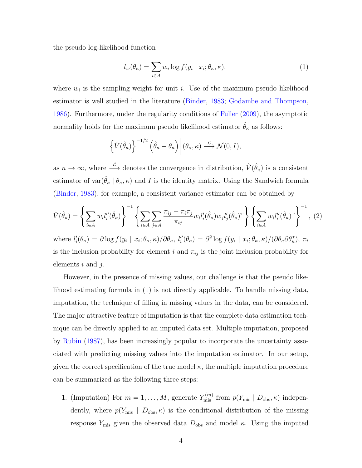<span id="page-3-0"></span>the pseudo log-likelihood function

$$
l_w(\theta_\kappa) = \sum_{i \in A} w_i \log f(y_i \mid x_i; \theta_\kappa, \kappa), \tag{1}
$$

where  $w_i$  is the sampling weight for unit *i*. Use of the maximum pseudo likelihood estimator is well studied in the literature [\(Binder,](#page-20-0) [1983;](#page-20-0) [Godambe and Thompson,](#page-20-0) [1986\)](#page-20-0). Furthermore, under the regularity conditions of [Fuller](#page-20-0) [\(2009\)](#page-20-0), the asymptotic normality holds for the maximum pseudo likelihood estimator  $\hat{\theta}_{\kappa}$  as follows:

$$
\left\{\hat{V}(\hat{\theta}_{\kappa})\right\}^{-1/2} \left(\hat{\theta}_{\kappa} - \theta_{\kappa}\right) \middle| (\theta_{\kappa}, \kappa) \stackrel{\mathcal{L}}{\longrightarrow} \mathcal{N}(0, I),
$$

as  $n \to \infty$ , where  $\stackrel{\mathcal{L}}{\longrightarrow}$  denotes the convergence in distribution,  $\hat{V}(\hat{\theta}_{\kappa})$  is a consistent estimator of var $(\hat{\theta}_{\kappa} \mid \theta_{\kappa}, \kappa)$  and I is the identity matrix. Using the Sandwich formula [\(Binder,](#page-20-0) [1983\)](#page-20-0), for example, a consistent variance estimator can be obtained by

$$
\hat{V}(\hat{\theta}_{\kappa}) = \left\{ \sum_{i \in A} w_i l_i''(\hat{\theta}_{\kappa}) \right\}^{-1} \left\{ \sum_{i \in A} \sum_{j \in A} \frac{\pi_{ij} - \pi_i \pi_j}{\pi_{ij}} w_i l_i'(\hat{\theta}_{\kappa}) w_j l_j'(\hat{\theta}_{\kappa})^{\mathrm{T}} \right\} \left\{ \sum_{i \in A} w_i l_i''(\hat{\theta}_{\kappa})^{\mathrm{T}} \right\}^{-1}, (2)
$$

where  $l'_{i}(\theta_{\kappa}) = \partial \log f(y_{i} | x_{i}; \theta_{\kappa}, \kappa) / \partial \theta_{\kappa}, l''_{i}(\theta_{\kappa}) = \partial^{2} \log f(y_{i} | x_{i}; \theta_{\kappa}, \kappa) / (\partial \theta_{\kappa} \partial \theta_{\kappa}^{T}), \pi_{i}$ is the inclusion probability for element i and  $\pi_{ij}$  is the joint inclusion probability for elements  $i$  and  $j$ .

However, in the presence of missing values, our challenge is that the pseudo likelihood estimating formula in (1) is not directly applicable. To handle missing data, imputation, the technique of filling in missing values in the data, can be considered. The major attractive feature of imputation is that the complete-data estimation technique can be directly applied to an imputed data set. Multiple imputation, proposed by [Rubin](#page-21-0) [\(1987\)](#page-21-0), has been increasingly popular to incorporate the uncertainty associated with predicting missing values into the imputation estimator. In our setup, given the correct specification of the true model  $\kappa$ , the multiple imputation procedure can be summarized as the following three steps:

1. (Imputation) For  $m = 1, ..., M$ , generate  $Y_{\text{mis}}^{(m)}$  from  $p(Y_{\text{mis}} | D_{\text{obs}}, \kappa)$  independently, where  $p(Y_{\text{mis}} \mid D_{\text{obs}}, \kappa)$  is the conditional distribution of the missing response  $Y_{\text{mis}}$  given the observed data  $D_{\text{obs}}$  and model  $\kappa$ . Using the imputed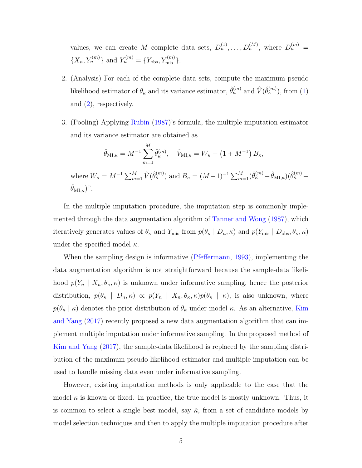values, we can create M complete data sets,  $D_n^{(1)}, \ldots, D_n^{(M)}$ , where  $D_n^{(m)} =$  ${X_n, Y_n^{(m)}}$  and  $Y_n^{(m)} = {Y_{obs}, Y_{mis}^{(m)}}$ .

- 2. (Analysis) For each of the complete data sets, compute the maximum pseudo likelihood estimator of  $\theta_{\kappa}$  and its variance estimator,  $\hat{\theta}_{\kappa}^{(m)}$  and  $\hat{V}(\hat{\theta}_{\kappa}^{(m)})$ , from [\(1\)](#page-3-0) and [\(2\)](#page-3-0), respectively.
- 3. (Pooling) Applying [Rubin](#page-21-0) [\(1987\)](#page-21-0)'s formula, the multiple imputation estimator and its variance estimator are obtained as

$$
\hat{\theta}_{\mathrm{MI},\kappa} = M^{-1} \sum_{m=1}^{M} \hat{\theta}_{\kappa}^{(m)}, \quad \hat{V}_{\mathrm{MI},\kappa} = W_{\kappa} + (1 + M^{-1}) B_{\kappa},
$$

where  $W_{\kappa} = M^{-1} \sum_{m=1}^{M} \hat{V}(\hat{\theta}_{\kappa}^{(m)})$  and  $B_{\kappa} = (M-1)^{-1} \sum_{m=1}^{M} (\hat{\theta}_{\kappa}^{(m)} - \hat{\theta}_{M I, \kappa}) (\hat{\theta}_{\kappa}^{(m)} \hat{\theta}_{{\rm MI}, \kappa})^{\rm T}.$ 

In the multiple imputation procedure, the imputation step is commonly implemented through the data augmentation algorithm of [Tanner and Wong](#page-22-0) [\(1987\)](#page-22-0), which iteratively generates values of  $\theta_{\kappa}$  and  $Y_{\text{mis}}$  from  $p(\theta_{\kappa} | D_n, \kappa)$  and  $p(Y_{\text{mis}} | D_{\text{obs}}, \theta_{\kappa}, \kappa)$ under the specified model  $\kappa$ .

When the sampling design is informative [\(Pfeffermann,](#page-21-0) [1993\)](#page-21-0), implementing the data augmentation algorithm is not straightforward because the sample-data likelihood  $p(Y_n | X_n, \theta_{\kappa}, \kappa)$  is unknown under informative sampling, hence the posterior distribution,  $p(\theta_{\kappa} | D_n, \kappa) \propto p(Y_n | X_n, \theta_{\kappa}, \kappa)p(\theta_{\kappa} | \kappa)$ , is also unknown, where  $p(\theta_{\kappa} \mid \kappa)$  denotes the prior distribution of  $\theta_{\kappa}$  under model  $\kappa$ . As an alternative, [Kim](#page-21-0) [and Yang](#page-21-0) [\(2017\)](#page-21-0) recently proposed a new data augmentation algorithm that can implement multiple imputation under informative sampling. In the proposed method of [Kim and Yang](#page-21-0) [\(2017\)](#page-21-0), the sample-data likelihood is replaced by the sampling distribution of the maximum pseudo likelihood estimator and multiple imputation can be used to handle missing data even under informative sampling.

However, existing imputation methods is only applicable to the case that the model  $\kappa$  is known or fixed. In practice, the true model is mostly unknown. Thus, it is common to select a single best model, say  $\hat{\kappa}$ , from a set of candidate models by model selection techniques and then to apply the multiple imputation procedure after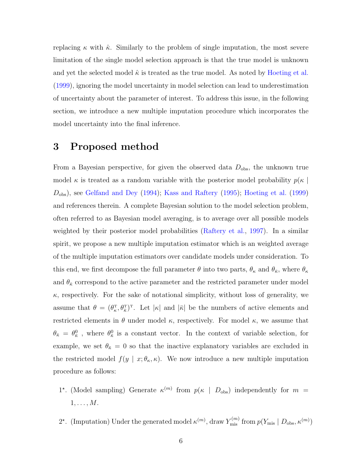<span id="page-5-0"></span>replacing  $\kappa$  with  $\hat{\kappa}$ . Similarly to the problem of single imputation, the most severe limitation of the single model selection approach is that the true model is unknown and yet the selected model  $\hat{\kappa}$  is treated as the true model. As noted by [Hoeting et al.](#page-20-0) [\(1999\)](#page-20-0), ignoring the model uncertainty in model selection can lead to underestimation of uncertainty about the parameter of interest. To address this issue, in the following section, we introduce a new multiple imputation procedure which incorporates the model uncertainty into the final inference.

# 3 Proposed method

From a Bayesian perspective, for given the observed data  $D_{obs}$ , the unknown true model  $\kappa$  is treated as a random variable with the posterior model probability  $p(\kappa)$ Dobs), see [Gelfand and Dey](#page-20-0) [\(1994\)](#page-20-0); [Kass and Raftery](#page-21-0) [\(1995\)](#page-21-0); [Hoeting et al.](#page-20-0) [\(1999\)](#page-20-0) and references therein. A complete Bayesian solution to the model selection problem, often referred to as Bayesian model averaging, is to average over all possible models weighted by their posterior model probabilities [\(Raftery et al.,](#page-21-0) [1997\)](#page-21-0). In a similar spirit, we propose a new multiple imputation estimator which is an weighted average of the multiple imputation estimators over candidate models under consideration. To this end, we first decompose the full parameter  $\theta$  into two parts,  $\theta_{\kappa}$  and  $\theta_{\bar{\kappa}}$ , where  $\theta_{\kappa}$ and  $\theta_{\bar{\kappa}}$  correspond to the active parameter and the restricted parameter under model  $\kappa$ , respectively. For the sake of notational simplicity, without loss of generality, we assume that  $\theta = (\theta_{\kappa}^T, \theta_{\bar{\kappa}}^T)^T$ . Let  $|\kappa|$  and  $|\bar{\kappa}|$  be the numbers of active elements and restricted elements in  $\theta$  under model  $\kappa$ , respectively. For model  $\kappa$ , we assume that  $\theta_{\bar{\kappa}} = \theta_{\bar{\kappa}}^0$ , where  $\theta_{\bar{\kappa}}^0$  is a constant vector. In the context of variable selection, for example, we set  $\theta_{\bar{\kappa}} = 0$  so that the inactive explanatory variables are excluded in the restricted model  $f(y \mid x; \theta_{\kappa}, \kappa)$ . We now introduce a new multiple imputation procedure as follows:

- 1<sup>\*</sup>. (Model sampling) Generate  $\kappa^{(m)}$  from  $p(\kappa | D_{obs})$  independently for  $m =$  $1, \ldots, M$ .
- 2<sup>\*</sup>. (Imputation) Under the generated model  $\kappa^{(m)}$ , draw  $Y_{\text{mis}}^{(m)}$  from  $p(Y_{\text{mis}} | D_{\text{obs}}, \kappa^{(m)})$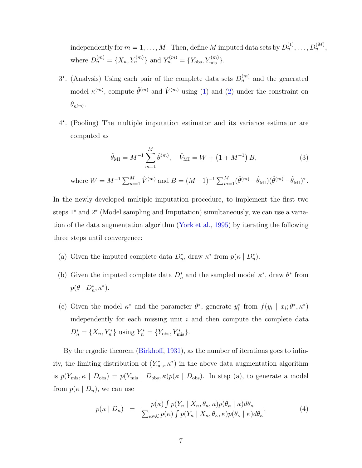<span id="page-6-0"></span>independently for  $m = 1, ..., M$ . Then, define M imputed data sets by  $D_n^{(1)}, ..., D_n^{(M)}$ , where  $D_n^{(m)} = \{X_n, Y_n^{(m)}\}\$ and  $Y_n^{(m)} = \{Y_{obs}, Y_{mis}^{(m)}\}\$ .

- $3^*$ . (Analysis) Using each pair of the complete data sets  $D_n^{(m)}$  and the generated model  $\kappa^{(m)}$ , compute  $\hat{\theta}^{(m)}$  and  $\hat{V}^{(m)}$  using [\(1\)](#page-3-0) and [\(2\)](#page-3-0) under the constraint on  $\theta_{\bar{\kappa}^{(m)}}.$
- 4 ? . (Pooling) The multiple imputation estimator and its variance estimator are computed as

$$
\hat{\theta}_{\rm MI} = M^{-1} \sum_{m=1}^{M} \hat{\theta}^{(m)}, \quad \hat{V}_{\rm MI} = W + \left(1 + M^{-1}\right)B,\tag{3}
$$

where  $W = M^{-1} \sum_{m=1}^{M} \hat{V}^{(m)}$  and  $B = (M-1)^{-1} \sum_{m=1}^{M} (\hat{\theta}^{(m)} - \hat{\theta}_{\text{MI}}) (\hat{\theta}^{(m)} - \hat{\theta}_{\text{MI}})^{\text{T}}$ .

In the newly-developed multiple imputation procedure, to implement the first two steps  $1^*$  and  $2^*$  (Model sampling and Imputation) simultaneously, we can use a variation of the data augmentation algorithm [\(York et al.,](#page-22-0) [1995\)](#page-22-0) by iterating the following three steps until convergence:

- (a) Given the imputed complete data  $D_n^*$ , draw  $\kappa^*$  from  $p(\kappa | D_n^*)$ .
- (b) Given the imputed complete data  $D_n^*$  and the sampled model  $\kappa^*$ , draw  $\theta^*$  from  $p(\theta \mid D_n^*, \kappa^*).$
- (c) Given the model  $\kappa^*$  and the parameter  $\theta^*$ , generate  $y_i^*$  from  $f(y_i | x_i; \theta^*, \kappa^*)$ independently for each missing unit  $i$  and then compute the complete data  $D_n^* = \{X_n, Y_n^*\}$  using  $Y_n^* = \{Y_{\text{obs}}, Y_{\text{mis}}^*\}.$

By the ergodic theorem [\(Birkhoff,](#page-20-0) [1931\)](#page-20-0), as the number of iterations goes to infinity, the limiting distribution of  $(Y^*_{\text{mis}}, \kappa^*)$  in the above data augmentation algorithm is  $p(Y_{\text{mis}}, \kappa \mid D_{\text{obs}}) = p(Y_{\text{mis}} \mid D_{\text{obs}}, \kappa)p(\kappa \mid D_{\text{obs}}).$  In step (a), to generate a model from  $p(\kappa | D_n)$ , we can use

$$
p(\kappa \mid D_n) = \frac{p(\kappa) \int p(Y_n \mid X_n, \theta_\kappa, \kappa) p(\theta_\kappa \mid \kappa) d\theta_\kappa}{\sum_{\kappa \in \mathcal{K}} p(\kappa) \int p(Y_n \mid X_n, \theta_\kappa, \kappa) p(\theta_\kappa \mid \kappa) d\theta_\kappa},
$$
(4)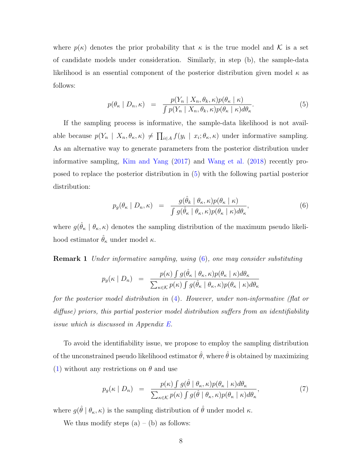<span id="page-7-0"></span>where  $p(\kappa)$  denotes the prior probability that  $\kappa$  is the true model and K is a set of candidate models under consideration. Similarly, in step (b), the sample-data likelihood is an essential component of the posterior distribution given model  $\kappa$  as follows:

$$
p(\theta_{\kappa} \mid D_n, \kappa) = \frac{p(Y_n \mid X_n, \theta_k, \kappa)p(\theta_{\kappa} \mid \kappa)}{\int p(Y_n \mid X_n, \theta_k, \kappa)p(\theta_{\kappa} \mid \kappa)d\theta_{\kappa}}.
$$
\n
$$
(5)
$$

If the sampling process is informative, the sample-data likelihood is not available because  $p(Y_n | X_n, \theta_\kappa, \kappa) \neq \prod_{i \in A} f(y_i | x_i; \theta_\kappa, \kappa)$  under informative sampling. As an alternative way to generate parameters from the posterior distribution under informative sampling, [Kim and Yang](#page-21-0) [\(2017\)](#page-21-0) and [Wang et al.](#page-22-0) [\(2018\)](#page-22-0) recently proposed to replace the posterior distribution in (5) with the following partial posterior distribution:

$$
p_g(\theta_{\kappa} \mid D_n, \kappa) = \frac{g(\hat{\theta}_{k} \mid \theta_{\kappa}, \kappa) p(\theta_{\kappa} \mid \kappa)}{\int g(\hat{\theta}_{\kappa} \mid \theta_{\kappa}, \kappa) p(\theta_{\kappa} \mid \kappa) d\theta_{\kappa}},
$$
\n(6)

where  $g(\hat{\theta}_{\kappa} \mid \theta_{\kappa}, \kappa)$  denotes the sampling distribution of the maximum pseudo likelihood estimator  $\hat{\theta}_{\kappa}$  under model  $\kappa$ .

**Remark 1** Under informative sampling, using  $(6)$ , one may consider substituting

$$
p_g(\kappa \mid D_n) = \frac{p(\kappa) \int g(\hat{\theta}_{\kappa} \mid \theta_{\kappa}, \kappa) p(\theta_{\kappa} \mid \kappa) d\theta_{\kappa}}{\sum_{\kappa \in \mathcal{K}} p(\kappa) \int g(\hat{\theta}_{\kappa} \mid \theta_{\kappa}, \kappa) p(\theta_{\kappa} \mid \kappa) d\theta_{\kappa}}
$$

for the posterior model distribution in [\(4\)](#page-6-0). However, under non-informative (flat or diffuse) priors, this partial posterior model distribution suffers from an identifiability issue which is discussed in Appendix [E.](#page-19-0)

To avoid the identifiability issue, we propose to employ the sampling distribution of the unconstrained pseudo likelihood estimator  $\hat{\theta}$ , where  $\hat{\theta}$  is obtained by maximizing [\(1\)](#page-3-0) without any restrictions on  $\theta$  and use

$$
p_g(\kappa \mid D_n) = \frac{p(\kappa) \int g(\hat{\theta} \mid \theta_{\kappa}, \kappa) p(\theta_{\kappa} \mid \kappa) d\theta_{\kappa}}{\sum_{\kappa \in \mathcal{K}} p(\kappa) \int g(\hat{\theta} \mid \theta_{\kappa}, \kappa) p(\theta_{\kappa} \mid \kappa) d\theta_{\kappa}},
$$
(7)

where  $g(\hat{\theta} | \theta_{\kappa}, \kappa)$  is the sampling distribution of  $\hat{\theta}$  under model  $\kappa$ .

We thus modify steps  $(a) - (b)$  as follows: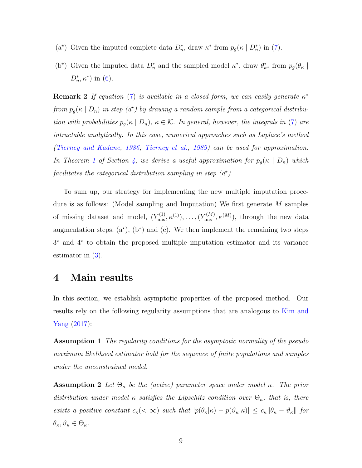- <span id="page-8-0"></span>(a<sup>\*</sup>) Given the imputed complete data  $D_n^*$ , draw  $\kappa^*$  from  $p_g(\kappa | D_n^*)$  in [\(7\)](#page-7-0).
- (b<sup>\*</sup>) Given the imputed data  $D_n^*$  and the sampled model  $\kappa^*$ , draw  $\theta_{\kappa^*}^*$  from  $p_g(\theta_{\kappa})$  $D_n^*, \kappa^*$ ) in [\(6\)](#page-7-0).

**Remark 2** If equation [\(7\)](#page-7-0) is available in a closed form, we can easily generate  $\kappa^*$ from  $p_g(\kappa \mid D_n)$  in step  $(a^*)$  by drawing a random sample from a categorical distribution with probabilities  $p_g(\kappa \mid D_n)$ ,  $\kappa \in \mathcal{K}$ . In general, however, the integrals in [\(7\)](#page-7-0) are intractable analytically. In this case, numerical approaches such as Laplace's method [\(Tierney and Kadane,](#page-22-0) [1986;](#page-22-0) [Tierney et al.,](#page-22-0) [1989\)](#page-22-0) can be used for approximation. In Theorem [1](#page-9-0) of Section 4, we derive a useful approximation for  $p_g(\kappa \mid D_n)$  which facilitates the categorical distribution sampling in step  $(a<sup>*</sup>)$ .

To sum up, our strategy for implementing the new multiple imputation procedure is as follows: (Model sampling and Imputation) We first generate M samples of missing dataset and model,  $(Y_{\text{mis}}^{(1)}, \kappa^{(1)}), \ldots, (Y_{\text{mis}}^{(M)}, \kappa^{(M)})$ , through the new data augmentation steps,  $(a^*)$ ,  $(b^*)$  and  $(c)$ . We then implement the remaining two steps 3 ? and 4? to obtain the proposed multiple imputation estimator and its variance estimator in  $(3)$ .

#### 4 Main results

In this section, we establish asymptotic properties of the proposed method. Our results rely on the following regularity assumptions that are analogous to [Kim and](#page-21-0) [Yang](#page-21-0) [\(2017\)](#page-21-0):

Assumption 1 The regularity conditions for the asymptotic normality of the pseudo maximum likelihood estimator hold for the sequence of finite populations and samples under the unconstrained model.

**Assumption 2** Let  $\Theta_{\kappa}$  be the (active) parameter space under model  $\kappa$ . The prior distribution under model  $\kappa$  satisfies the Lipschitz condition over  $\Theta_{\kappa}$ , that is, there exists a positive constant  $c_{\kappa}(<\infty)$  such that  $|p(\theta_{\kappa}|\kappa) - p(\vartheta_{\kappa}|\kappa)| \leq c_{\kappa} ||\theta_{\kappa} - \vartheta_{\kappa}||$  for  $\theta_{\kappa}, \vartheta_{\kappa} \in \Theta_{\kappa}.$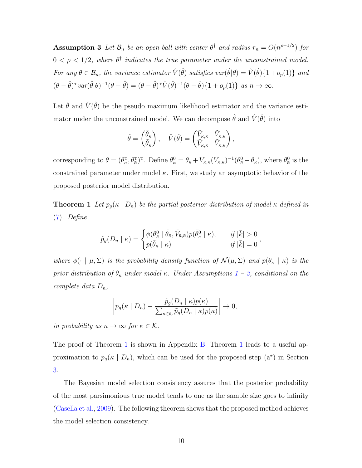<span id="page-9-0"></span>**Assumption 3** Let  $\mathcal{B}_n$  be an open ball with center  $\theta^{\dagger}$  and radius  $r_n = O(n^{\rho-1/2})$  for  $0 < \rho < 1/2$ , where  $\theta^{\dagger}$  indicates the true parameter under the unconstrained model. For any  $\theta \in \mathcal{B}_n$ , the variance estimator  $\hat{V}(\hat{\theta})$  satisfies  $var(\hat{\theta}|\theta) = \hat{V}(\hat{\theta})\{1 + o_p(1)\}\$ and  $(\theta - \hat{\theta})^{\mathrm{T}} \text{var}(\hat{\theta} | \theta)^{-1} (\theta - \hat{\theta}) = (\theta - \hat{\theta})^{\mathrm{T}} \hat{V}(\hat{\theta})^{-1} (\theta - \hat{\theta}) \{1 + o_p(1)\} \text{ as } n \to \infty.$ 

Let  $\hat{\theta}$  and  $\hat{V}(\hat{\theta})$  be the pseudo maximum likelihood estimator and the variance estimator under the unconstrained model. We can decompose  $\hat{\theta}$  and  $\hat{V}(\hat{\theta})$  into

$$
\hat{\theta} = \begin{pmatrix} \tilde{\theta}_{\kappa} \\ \tilde{\theta}_{\bar{\kappa}} \end{pmatrix}, \quad \hat{V}(\hat{\theta}) = \begin{pmatrix} \tilde{V}_{\kappa,\kappa} & \tilde{V}_{\kappa,\bar{\kappa}} \\ \tilde{V}_{\bar{\kappa},\kappa} & \tilde{V}_{\bar{\kappa},\bar{\kappa}} \end{pmatrix},
$$

corresponding to  $\theta = (\theta_{\kappa}^{\mathrm{T}}, \theta_{\bar{\kappa}}^{\mathrm{T}})^{\mathrm{T}}$ . Define  $\tilde{\theta}_{\kappa}^0 = \tilde{\theta}_{\kappa} + \tilde{V}_{\kappa,\bar{\kappa}}(\tilde{V}_{\bar{\kappa},\bar{\kappa}})^{-1}(\theta_{\bar{\kappa}}^0 - \tilde{\theta}_{\bar{\kappa}})$ , where  $\theta_{\bar{\kappa}}^0$  is the constrained parameter under model  $\kappa$ . First, we study an asymptotic behavior of the proposed posterior model distribution.

**Theorem 1** Let  $p_g(\kappa \mid D_n)$  be the partial posterior distribution of model  $\kappa$  defined in [\(7\)](#page-7-0). Define

$$
\tilde{p}_g(D_n \mid \kappa) = \begin{cases} \phi(\theta_{\bar{\kappa}}^0 \mid \tilde{\theta}_{\bar{\kappa}}, \tilde{V}_{\bar{\kappa},\bar{\kappa}}) p(\tilde{\theta}_{\kappa}^0 \mid \kappa), & \text{if } |\bar{k}| > 0 \\ p(\tilde{\theta}_{\kappa} \mid \kappa) & \text{if } |\bar{k}| = 0 \end{cases},
$$

where  $\phi(\cdot \mid \mu, \Sigma)$  is the probability density function of  $\mathcal{N}(\mu, \Sigma)$  and  $p(\theta_{\kappa} \mid \kappa)$  is the prior distribution of  $\theta_{\kappa}$  under model  $\kappa$ . Under Assumptions [1](#page-8-0) – [3,](#page-8-0) conditional on the complete data  $D_n$ ,

$$
\left| p_g(\kappa \mid D_n) - \frac{\tilde{p}_g(D_n \mid \kappa) p(\kappa)}{\sum_{\kappa \in \mathcal{K}} \tilde{p}_g(D_n \mid \kappa) p(\kappa)} \right| \to 0,
$$

in probability as  $n \to \infty$  for  $\kappa \in \mathcal{K}$ .

The proof of Theorem 1 is shown in Appendix [B.](#page-15-0) Theorem 1 leads to a useful approximation to  $p_g(\kappa | D_n)$ , which can be used for the proposed step  $(a^*)$  in Section [3.](#page-5-0)

The Bayesian model selection consistency assures that the posterior probability of the most parsimonious true model tends to one as the sample size goes to infinity [\(Casella et al.,](#page-20-0) [2009\)](#page-20-0). The following theorem shows that the proposed method achieves the model selection consistency.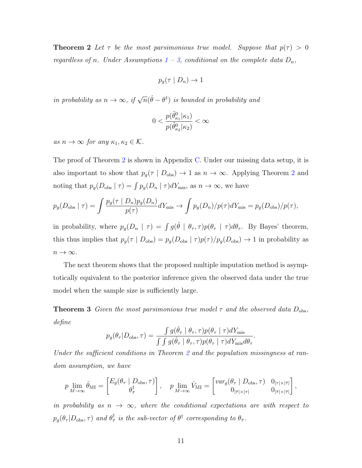<span id="page-10-0"></span>**Theorem 2** Let  $\tau$  be the most parsimonious true model. Suppose that  $p(\tau) > 0$ regardless of n. Under Assumptions  $1 - 3$  $1 - 3$ , conditional on the complete data  $D_n$ ,

$$
p_g(\tau \mid D_n) \to 1
$$

in probability as  $n \to \infty$ , if  $\sqrt{n}(\hat{\theta} - \theta^{\dagger})$  is bounded in probability and

$$
0<\frac{p(\tilde{\theta}_{\kappa_1}^0|\kappa_1)}{p(\tilde{\theta}_{\kappa_2}^0|\kappa_2)}<\infty
$$

as  $n \to \infty$  for any  $\kappa_1, \kappa_2 \in \mathcal{K}$ .

The proof of Theorem [2](#page-9-0) is shown in Appendix [C.](#page-16-0) Under our missing data setup, it is also important to show that  $p_g(\tau | D_{obs}) \to 1$  as  $n \to \infty$ . Applying Theorem [2](#page-9-0) and noting that  $p_g(D_{obs} \mid \tau) = \int p_g(D_n \mid \tau) dY_{mis}$ , as  $n \to \infty$ , we have

$$
p_g(D_{\text{obs}} \mid \tau) = \int \frac{p_g(\tau \mid D_n) p_g(D_n)}{p(\tau)} dY_{\text{mis}} \to \int p_g(D_n) / p(\tau) dY_{\text{mis}} = p_g(D_{\text{obs}}) / p(\tau),
$$

in probability, where  $p_g(D_n | \tau) = \int g(\hat{\theta} | \theta_\tau, \tau) p(\theta_\tau | \tau) d\theta_\tau$ . By Bayes' theorem, this thus implies that  $p_g(\tau | D_{obs}) = p_g(D_{obs} | \tau) p(\tau) / p_g(D_{obs}) \to 1$  in probability as  $n \to \infty$ .

The next theorem shows that the proposed multiple imputation method is asymptotically equivalent to the posterior inference given the observed data under the true model when the sample size is sufficiently large.

**Theorem 3** Given the most parsimonious true model  $\tau$  and the observed data  $D_{obs}$ , define

$$
p_g(\theta_\tau | D_{\text{obs}}, \tau) = \frac{\int g(\hat{\theta}_\tau | \theta_\tau, \tau) p(\theta_\tau | \tau) dY_{\text{mis}}}{\int \int g(\hat{\theta}_\tau | \theta_\tau, \tau) p(\theta_\tau | \tau) dY_{\text{mis}} d\theta_\tau}.
$$

Under the sufficient conditions in Theorem [2](#page-9-0) and the population missingness at random assumption, we have

$$
p \lim_{M \to \infty} \hat{\theta}_{\mathrm{MI}} = \begin{bmatrix} E_g(\theta_\tau \mid D_{\mathrm{obs}}, \tau) \\ \theta_\tau^{\dagger} \end{bmatrix}, \quad p \lim_{M \to \infty} \hat{V}_{\mathrm{MI}} = \begin{bmatrix} var_g(\theta_\tau \mid D_{\mathrm{obs}}, \tau) & 0_{|\tau| \times |\bar{\tau}|} \\ 0_{|\bar{\tau}| \times |\tau|} & 0_{|\bar{\tau}| \times |\bar{\tau}|} \end{bmatrix},
$$

in probability as  $n \to \infty$ , where the conditional expectations are with respect to  $p_g(\theta_\tau|D_{\text{obs}},\tau)$  and  $\theta^\dagger_{\bar{\tau}}$  $\frac{1}{\tau}$  is the sub-vector of  $\theta^{\dagger}$  corresponding to  $\theta_{\bar{\tau}}$ .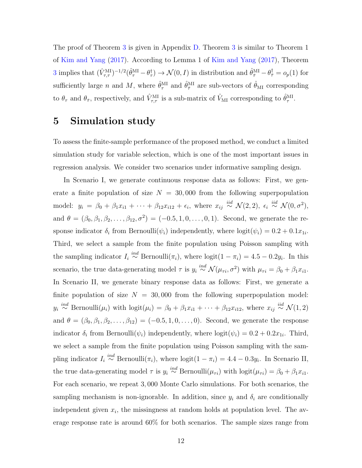The proof of Theorem [3](#page-10-0) is given in Appendix [D.](#page-18-0) Theorem [3](#page-10-0) is similar to Theorem 1 of [Kim and Yang](#page-21-0) [\(2017\)](#page-21-0). According to Lemma 1 of [Kim and Yang](#page-21-0) [\(2017\)](#page-21-0), Theorem [3](#page-10-0) implies that  $(\hat{V}_{\tau,\tau}^{\text{MI}})^{-1/2}(\hat{\theta}_{\tau}^{\text{MI}} - \theta_{\tau}^{\dagger}) \to \mathcal{N}(0, I)$  in distribution and  $\hat{\theta}_{\bar{\tau}}^{\text{MI}} - \theta_{\bar{\tau}}^{\dagger} = o_p(1)$  for sufficiently large n and M, where  $\hat{\theta}_{\tau}^{\text{MI}}$  $_{\tau}^{\rm MI}$  and  $\hat{\theta}_{\bar{\tau}}^{\rm MI}$  $\frac{M}{\tau}$  are sub-vectors of  $\hat{\theta}_{\text{MI}}$  corresponding to  $\theta_{\tau}$  and  $\theta_{\bar{\tau}}$ , respectively, and  $\hat{V}_{\tau,\tau}^{\text{MI}}$  is a sub-matrix of  $\hat{V}_{\text{MI}}$  corresponding to  $\hat{\theta}_{\tau}^{\text{MI}}$  $_{\tau}^{\rm MI}.$ 

### 5 Simulation study

To assess the finite-sample performance of the proposed method, we conduct a limited simulation study for variable selection, which is one of the most important issues in regression analysis. We consider two scenarios under informative sampling design.

In Scenario I, we generate continuous response data as follows: First, we generate a finite population of size  $N = 30,000$  from the following superpopulation model:  $y_i = \beta_0 + \beta_1 x_{i1} + \cdots + \beta_{12} x_{i12} + \epsilon_i$ , where  $x_{ij} \stackrel{iid}{\sim} \mathcal{N}(2, 2)$ ,  $\epsilon_i \stackrel{iid}{\sim} \mathcal{N}(0, \sigma^2)$ , and  $\theta = (\beta_0, \beta_1, \beta_2, \dots, \beta_{12}, \sigma^2) = (-0.5, 1, 0, \dots, 0, 1)$ . Second, we generate the response indicator  $\delta_i$  from Bernoulli $(\psi_i)$  independently, where  $\text{logit}(\psi_i) = 0.2 + 0.1x_{1i}$ . Third, we select a sample from the finite population using Poisson sampling with the sampling indicator  $I_i \stackrel{ind}{\sim} \text{Bernoulli}(\pi_i)$ , where  $\text{logit}(1 - \pi_i) = 4.5 - 0.2y_i$ . In this scenario, the true data-generating model  $\tau$  is  $y_i \stackrel{ind}{\sim} \mathcal{N}(\mu_{\tau i}, \sigma^2)$  with  $\mu_{\tau i} = \beta_0 + \beta_1 x_{i1}$ . In Scenario II, we generate binary response data as follows: First, we generate a finite population of size  $N = 30,000$  from the following superpopulation model:  $y_i \stackrel{ind}{\sim} \text{Bernoulli}(\mu_i)$  with  $\text{logit}(\mu_i) = \beta_0 + \beta_1 x_{i1} + \cdots + \beta_{12} x_{i12}$ , where  $x_{ij} \stackrel{iid}{\sim} \mathcal{N}(1, 2)$ and  $\theta = (\beta_0, \beta_1, \beta_2, \dots, \beta_{12}) = (-0.5, 1, 0, \dots, 0)$ . Second, we generate the response indicator  $\delta_i$  from Bernoulli $(\psi_i)$  independently, where  $\text{logit}(\psi_i) = 0.2 + 0.2x_{1i}$ . Third, we select a sample from the finite population using Poisson sampling with the sampling indicator  $I_i \stackrel{ind}{\sim} \text{Bernoulli}(\pi_i)$ , where  $\text{logit}(1 - \pi_i) = 4.4 - 0.3y_i$ . In Scenario II, the true data-generating model  $\tau$  is  $y_i \stackrel{ind}{\sim} \text{Bernoulli}(\mu_{\tau i})$  with  $\text{logit}(\mu_{\tau i}) = \beta_0 + \beta_1 x_{i1}$ . For each scenario, we repeat 3, 000 Monte Carlo simulations. For both scenarios, the sampling mechanism is non-ignorable. In addition, since  $y_i$  and  $\delta_i$  are conditionally independent given  $x_i$ , the missingness at random holds at population level. The average response rate is around 60% for both scenarios. The sample sizes range from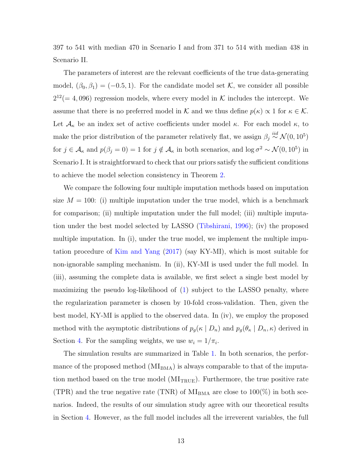397 to 541 with median 470 in Scenario I and from 371 to 514 with median 438 in Scenario II.

The parameters of interest are the relevant coefficients of the true data-generating model,  $(\beta_0, \beta_1) = (-0.5, 1)$ . For the candidate model set K, we consider all possible  $2^{12} (= 4,096)$  regression models, where every model in K includes the intercept. We assume that there is no preferred model in K and we thus define  $p(\kappa) \propto 1$  for  $\kappa \in \mathcal{K}$ . Let  $\mathcal{A}_{\kappa}$  be an index set of active coefficients under model  $\kappa$ . For each model  $\kappa$ , to make the prior distribution of the parameter relatively flat, we assign  $\beta_j \stackrel{iid}{\sim} \mathcal{N}(0, 10^5)$ for  $j \in \mathcal{A}_{\kappa}$  and  $p(\beta_j = 0) = 1$  for  $j \notin \mathcal{A}_{\kappa}$  in both scenarios, and  $\log \sigma^2 \sim \mathcal{N}(0, 10^5)$  in Scenario I. It is straightforward to check that our priors satisfy the sufficient conditions to achieve the model selection consistency in Theorem [2.](#page-9-0)

We compare the following four multiple imputation methods based on imputation size  $M = 100$ : (i) multiple imputation under the true model, which is a benchmark for comparison; (ii) multiple imputation under the full model; (iii) multiple imputation under the best model selected by LASSO [\(Tibshirani,](#page-22-0) [1996\)](#page-22-0); (iv) the proposed multiple imputation. In (i), under the true model, we implement the multiple imputation procedure of [Kim and Yang](#page-21-0) [\(2017\)](#page-21-0) (say KY-MI), which is most suitable for non-ignorable sampling mechanism. In (ii), KY-MI is used under the full model. In (iii), assuming the complete data is available, we first select a single best model by maximizing the pseudo log-likelihood of [\(1\)](#page-3-0) subject to the LASSO penalty, where the regularization parameter is chosen by 10-fold cross-validation. Then, given the best model, KY-MI is applied to the observed data. In (iv), we employ the proposed method with the asymptotic distributions of  $p_g(\kappa | D_n)$  and  $p_g(\theta_{\kappa} | D_n, \kappa)$  derived in Section [4.](#page-8-0) For the sampling weights, we use  $w_i = 1/\pi_i$ .

The simulation results are summarized in Table [1.](#page-13-0) In both scenarios, the performance of the proposed method  $(MI<sub>BMA</sub>)$  is always comparable to that of the imputation method based on the true model  $(MI_{TRUE})$ . Furthermore, the true positive rate (TPR) and the true negative rate (TNR) of  $M_{BMA}$  are close to 100(%) in both scenarios. Indeed, the results of our simulation study agree with our theoretical results in Section [4.](#page-8-0) However, as the full model includes all the irreverent variables, the full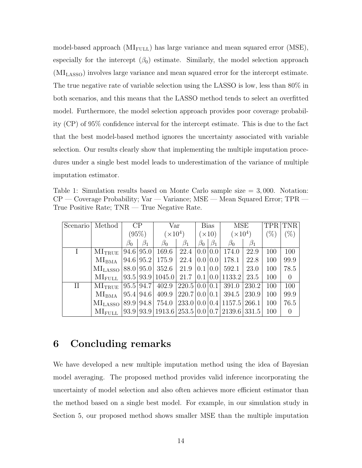<span id="page-13-0"></span>model-based approach  $(MI_{\text{FULL}})$  has large variance and mean squared error (MSE), especially for the intercept  $(\beta_0)$  estimate. Similarly, the model selection approach (MILASSO) involves large variance and mean squared error for the intercept estimate. The true negative rate of variable selection using the LASSO is low, less than 80% in both scenarios, and this means that the LASSO method tends to select an overfitted model. Furthermore, the model selection approach provides poor coverage probability (CP) of 95% confidence interval for the intercept estimate. This is due to the fact that the best model-based method ignores the uncertainty associated with variable selection. Our results clearly show that implementing the multiple imputation procedures under a single best model leads to underestimation of the variance of multiple imputation estimator.

Table 1: Simulation results based on Monte Carlo sample size  $= 3,000$ . Notation: CP — Coverage Probability; Var — Variance; MSE — Mean Squared Error; TPR — True Positive Rate; TNR — True Negative Rate.

| Scenario | Method                                                                                | CP        |           | Var                          |                               | <b>Bias</b>   |           | MSE                 |           |        | <b>TPR TNR</b> |
|----------|---------------------------------------------------------------------------------------|-----------|-----------|------------------------------|-------------------------------|---------------|-----------|---------------------|-----------|--------|----------------|
|          |                                                                                       | $(95\%)$  |           | $(\times 10^4)$              |                               | $(\times 10)$ |           | $(\times 10^4)$     |           | $(\%)$ | $(\%)$         |
|          |                                                                                       | $\beta_0$ | $\beta_1$ | $\beta_0$                    | $\beta_1$                     | $\beta_0$     | $\beta_1$ | $\beta_0$           | $\beta_1$ |        |                |
|          | $\rm MI_{TRUE}$                                                                       | 94.6 95.0 |           | 169.6                        | $22.4 \mid 0.0 \mid 0.0 \mid$ |               |           | 174.0               | 22.9      | 100    | 100            |
|          | $\rm MI_{BMA}$                                                                        |           |           | 94.6 95.2 175.9 22.4 0.0 0.0 |                               |               |           | 178.1               | 22.8      | 100    | 99.9           |
|          | $\text{MI}_{\text{LASSO}}$   88.0   95.0   352.6   21.9   0.1   0.0   592.1           |           |           |                              |                               |               |           |                     | 23.0      | 100    | 78.5           |
|          | $\text{MI}_{\text{FULL}}$   93.5   93.9   1045.0   21.7   0.1   0.0   1133.2   23.5   |           |           |                              |                               |               |           |                     |           | 100    | $\overline{0}$ |
| $\rm II$ | $\text{MI}_{\text{TRUE}}$   95.5   94.7   402.9                                       |           |           |                              |                               |               |           | 220.5 0.0 0.1 391.0 | 230.2     | 100    | 100            |
|          | $\text{MI}_{\text{BMA}}$   95.4   94.6   409.9   220.7   0.0   0.1   394.5   230.9    |           |           |                              |                               |               |           |                     |           | 100    | 99.9           |
|          | $\text{MI}_{\text{LASSO}}$   89.9   94.8   754.0   233.0   0.0   0.4   1157.5   266.1 |           |           |                              |                               |               |           |                     |           | 100    | 76.5           |
|          | $\text{MI}_{\text{FULL}}$   93.9   93.9   1913.6   253.5   0.0   0.7   2139.6   331.5 |           |           |                              |                               |               |           |                     |           | 100    | $\overline{0}$ |

# 6 Concluding remarks

We have developed a new multiple imputation method using the idea of Bayesian model averaging. The proposed method provides valid inference incorporating the uncertainty of model selection and also often achieves more efficient estimator than the method based on a single best model. For example, in our simulation study in Section 5, our proposed method shows smaller MSE than the multiple imputation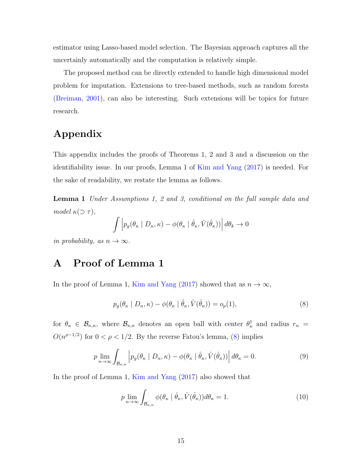<span id="page-14-0"></span>estimator using Lasso-based model selection. The Bayesian approach captures all the uncertainly automatically and the computation is relatively simple.

The proposed method can be directly extended to handle high dimensional model problem for imputation. Extensions to tree-based methods, such as random forests [\(Breiman,](#page-20-0) [2001\)](#page-20-0), can also be interesting. Such extensions will be topics for future research.

# Appendix

This appendix includes the proofs of Theorems 1, 2 and 3 and a discussion on the identifiability issue. In our proofs, Lemma 1 of [Kim and Yang](#page-21-0) [\(2017\)](#page-21-0) is needed. For the sake of readability, we restate the lemma as follows.

**Lemma 1** Under Assumptions 1, 2 and 3, conditional on the full sample data and model  $\kappa(\supset \tau)$ ,

$$
\int \left| p_g(\theta_{\kappa} \mid D_n, \kappa) - \phi(\theta_{\kappa} \mid \hat{\theta}_{\kappa}, \hat{V}(\hat{\theta}_{\kappa})) \right| d\theta_{k} \to 0
$$

in probability, as  $n \to \infty$ .

# A Proof of Lemma 1

In the proof of Lemma 1, [Kim and Yang](#page-21-0) [\(2017\)](#page-21-0) showed that as  $n \to \infty$ ,

$$
p_g(\theta_\kappa \mid D_n, \kappa) - \phi(\theta_\kappa \mid \hat{\theta}_\kappa, \hat{V}(\hat{\theta}_\kappa)) = o_p(1),
$$
\n(8)

for  $\theta_{\kappa} \in \mathcal{B}_{\kappa,n}$ , where  $\mathcal{B}_{\kappa,n}$  denotes an open ball with center  $\theta_{\kappa}^{\dagger}$  and radius  $r_n =$  $O(n^{\rho-1/2})$  for  $0 < \rho < 1/2$ . By the reverse Fatou's lemma, (8) implies

$$
p \lim_{n \to \infty} \int_{\mathcal{B}_{\kappa,n}} \left| p_g(\theta_\kappa \mid D_n, \kappa) - \phi(\theta_\kappa \mid \hat{\theta}_\kappa, \hat{V}(\hat{\theta}_\kappa)) \right| d\theta_\kappa = 0.
$$
 (9)

In the proof of Lemma 1, [Kim and Yang](#page-21-0) [\(2017\)](#page-21-0) also showed that

$$
p \lim_{n \to \infty} \int_{\mathcal{B}_{\kappa,n}} \phi(\theta_{\kappa} \mid \hat{\theta}_{\kappa}, \hat{V}(\hat{\theta}_{\kappa})) d\theta_{\kappa} = 1.
$$
 (10)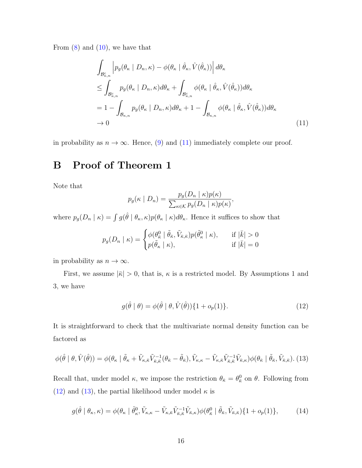<span id="page-15-0"></span>From  $(8)$  and  $(10)$ , we have that

$$
\int_{\mathcal{B}_{\kappa,n}^c} \left| p_g(\theta_{\kappa} \mid D_n, \kappa) - \phi(\theta_{\kappa} \mid \hat{\theta}_{\kappa}, \hat{V}(\hat{\theta}_{\kappa})) \right| d\theta_{\kappa} \n\leq \int_{\mathcal{B}_{\kappa,n}^c} p_g(\theta_{\kappa} \mid D_n, \kappa) d\theta_{\kappa} + \int_{\mathcal{B}_{\kappa,n}^c} \phi(\theta_{\kappa} \mid \hat{\theta}_{\kappa}, \hat{V}(\hat{\theta}_{\kappa})) d\theta_{\kappa} \n= 1 - \int_{\mathcal{B}_{\kappa,n}} p_g(\theta_{\kappa} \mid D_n, \kappa) d\theta_{\kappa} + 1 - \int_{\mathcal{B}_{\kappa,n}} \phi(\theta_{\kappa} \mid \hat{\theta}_{\kappa}, \hat{V}(\hat{\theta}_{\kappa})) d\theta_{\kappa} \n\to 0
$$
\n(11)

in probability as  $n \to \infty$ . Hence, [\(9\)](#page-14-0) and (11) immediately complete our proof.

# B Proof of Theorem 1

Note that

$$
p_g(\kappa \mid D_n) = \frac{p_g(D_n \mid \kappa)p(\kappa)}{\sum_{\kappa \in \mathcal{K}} p_g(D_n \mid \kappa)p(\kappa)},
$$

where  $p_g(D_n | \kappa) = \int g(\hat{\theta} | \theta_{\kappa}, \kappa) p(\theta_{\kappa} | \kappa) d\theta_{\kappa}$ . Hence it suffices to show that

$$
p_g(D_n \mid \kappa) = \begin{cases} \phi(\theta_{\bar{\kappa}}^0 \mid \tilde{\theta}_{\bar{\kappa}}, \tilde{V}_{\bar{\kappa}, \bar{\kappa}}) p(\tilde{\theta}_{\kappa}^0 \mid \kappa), & \text{if } |\bar{k}| > 0\\ p(\tilde{\theta}_{\kappa} \mid \kappa), & \text{if } |\bar{k}| = 0 \end{cases}
$$

in probability as  $n \to \infty$ .

First, we assume  $|\bar{\kappa}| > 0$ , that is,  $\kappa$  is a restricted model. By Assumptions 1 and 3, we have

$$
g(\hat{\theta} \mid \theta) = \phi(\hat{\theta} \mid \theta, \hat{V}(\hat{\theta})) \{1 + o_p(1)\}.
$$
 (12)

It is straightforward to check that the multivariate normal density function can be factored as

$$
\phi(\hat{\theta} \mid \theta, \hat{V}(\hat{\theta})) = \phi(\theta_{\kappa} \mid \tilde{\theta}_{\kappa} + \tilde{V}_{\kappa,\bar{\kappa}}\tilde{V}_{\bar{\kappa},\bar{\kappa}}^{-1}(\theta_{\bar{\kappa}} - \tilde{\theta}_{\bar{\kappa}}), \tilde{V}_{\kappa,\kappa} - \tilde{V}_{\kappa,\bar{\kappa}}\tilde{V}_{\bar{\kappa},\bar{\kappa}}^{-1}\tilde{V}_{\bar{\kappa},\kappa})\phi(\theta_{\bar{\kappa}} \mid \tilde{\theta}_{\bar{\kappa}}, \tilde{V}_{\bar{\kappa},\bar{\kappa}}). (13)
$$

Recall that, under model  $\kappa$ , we impose the restriction  $\theta_{\bar{\kappa}} = \theta_{\bar{\kappa}}^0$  on  $\theta$ . Following from (12) and (13), the partial likelihood under model  $\kappa$  is

$$
g(\hat{\theta} \mid \theta_{\kappa}, \kappa) = \phi(\theta_{\kappa} \mid \tilde{\theta}_{\kappa}^{0}, \tilde{V}_{\kappa, \kappa} - \tilde{V}_{\kappa, \bar{\kappa}} \tilde{V}_{\bar{\kappa}, \bar{\kappa}}^{-1} \tilde{V}_{\bar{\kappa}, \kappa}) \phi(\theta_{\bar{\kappa}}^{0} \mid \tilde{\theta}_{\bar{\kappa}}, \tilde{V}_{\bar{\kappa}, \bar{\kappa}}) \{1 + o_{p}(1)\},\tag{14}
$$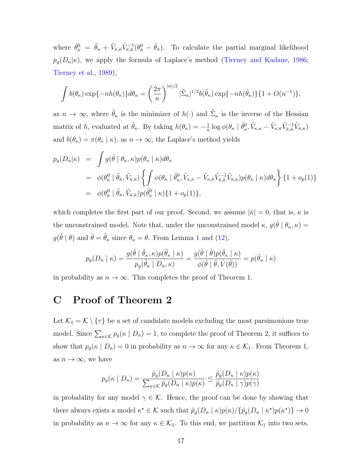<span id="page-16-0"></span>where  $\tilde{\theta}^0_{\kappa} = \tilde{\theta}_{\kappa} + \tilde{V}_{\kappa,\bar{\kappa}}\tilde{V}_{\bar{\kappa},\bar{\kappa}}^{-1}(\theta^0_{\bar{\kappa}} - \tilde{\theta}_{\bar{\kappa}}).$  To calculate the partial marginal likelihood  $p_g(D_n|\kappa)$ , we apply the formula of Laplace's method [\(Tierney and Kadane,](#page-22-0) [1986;](#page-22-0) [Tierney et al.,](#page-22-0) [1989\)](#page-22-0),

$$
\int b(\theta_{\kappa}) \exp\{-nh(\theta_{\kappa})\} d\theta_{\kappa} = \left(\frac{2\pi}{n}\right)^{|\kappa|/2} |\tilde{\Sigma}_{\kappa}|^{1/2} b(\tilde{\theta}_{\kappa}) \exp\{-nh(\tilde{\theta}_{\kappa})\}\{1+O(n^{-1})\},\
$$

as  $n \to \infty$ , where  $\tilde{\theta}_{\kappa}$  is the minimizer of  $h(\cdot)$  and  $\tilde{\Sigma}_{\kappa}$  is the inverse of the Hessian matrix of h, evaluated at  $\tilde{\theta}_{\kappa}$ . By taking  $h(\theta_{\kappa}) = -\frac{1}{n}$  $\frac{1}{n} \log \phi(\theta_{\kappa} \mid \tilde{\theta}^0_{\kappa}, \tilde{V}_{\kappa, \kappa} - \tilde{V}_{\kappa, \bar{\kappa}} \tilde{V}_{\bar{\kappa}, \bar{\kappa}}^{-1} \tilde{V}_{\bar{\kappa}, \kappa})$ and  $b(\theta_{\kappa}) = \pi(\theta_{\kappa} \mid \kappa)$ , as  $n \to \infty$ , the Laplace's method yields

$$
p_g(D_n|\kappa) = \int g(\hat{\theta} | \theta_{\kappa}, \kappa) p(\theta_{\kappa} | \kappa) d\theta_{\kappa}
$$
  
\n
$$
= \phi(\theta_{\bar{\kappa}}^0 | \tilde{\theta}_{\bar{\kappa}}, \tilde{V}_{\bar{\kappa}, \bar{\kappa}}) \left\{ \int \phi(\theta_{\kappa} | \tilde{\theta}_{\kappa}^0, \tilde{V}_{\kappa, \kappa} - \tilde{V}_{\kappa, \bar{\kappa}} \tilde{V}_{\bar{\kappa}, \bar{\kappa}}^{-1} \tilde{V}_{\bar{\kappa}, \kappa}) p(\theta_{\kappa} | \kappa) d\theta_{\kappa} \right\} \{1 + o_p(1)\}
$$
  
\n
$$
= \phi(\theta_{\bar{\kappa}}^0 | \tilde{\theta}_{\bar{\kappa}}, \tilde{V}_{\bar{\kappa}, \bar{\kappa}}) p(\tilde{\theta}_{\kappa}^0 | \kappa) \{1 + o_p(1)\},
$$

which completes the first part of our proof. Second, we assume  $|\bar{\kappa}| = 0$ , that is,  $\kappa$  is the unconstrained model. Note that, under the unconstrained model  $\kappa$ ,  $g(\hat{\theta} | \theta_{\kappa}, \kappa) =$  $g(\hat{\theta} | \theta)$  and  $\hat{\theta} = \tilde{\theta}_{\kappa}$  since  $\theta_{\kappa} = \theta$ . From Lemma [1](#page-14-0) and [\(12\)](#page-15-0),

$$
p_g(D_n \mid \kappa) = \frac{g(\hat{\theta} \mid \tilde{\theta}_{\kappa}, \kappa)p(\tilde{\theta}_{\kappa} \mid \kappa)}{p_g(\tilde{\theta}_{\kappa} \mid D_n, \kappa)} = \frac{g(\hat{\theta} \mid \hat{\theta})p(\tilde{\theta}_{\kappa} \mid \kappa)}{\phi(\hat{\theta} \mid \hat{\theta}, \hat{V}(\hat{\theta}))} = p(\tilde{\theta}_{\kappa} \mid \kappa)
$$

in probability as  $n \to \infty$ . This completes the proof of Theorem 1.

## C Proof of Theorem 2

Let  $\mathcal{K}_1 = \mathcal{K} \setminus \{\tau\}$  be a set of candidate models excluding the most parsimonious true model. Since  $\sum_{\kappa \in \mathcal{K}} p_g(\kappa \mid D_n) = 1$ , to complete the proof of Theorem 2, it suffices to show that  $p_g(\kappa | D_n) = 0$  in probability as  $n \to \infty$  for any  $\kappa \in \mathcal{K}_1$ . From Theorem 1, as  $n \to \infty$ , we have

$$
p_g(\kappa \mid D_n) = \frac{\tilde{p}_g(D_n \mid \kappa)p(\kappa)}{\sum_{\kappa \in \kappa} \tilde{p}_g(D_n \mid \kappa)p(\kappa)} \le \frac{\tilde{p}_g(D_n \mid \kappa)p(\kappa)}{\tilde{p}_g(D_n \mid \gamma)p(\gamma)}
$$

in probability for any model  $\gamma \in \mathcal{K}$ . Hence, the proof can be done by showing that there always exists a model  $\kappa^* \in \mathcal{K}$  such that  $\tilde{p}_g(D_n \mid \kappa) p(\kappa) / {\{\tilde{p}_g(D_n \mid \kappa^*)p(\kappa^*)\}} \to 0$ in probability as  $n \to \infty$  for any  $\kappa \in \mathcal{K}_1$ . To this end, we partition  $\mathcal{K}_1$  into two sets,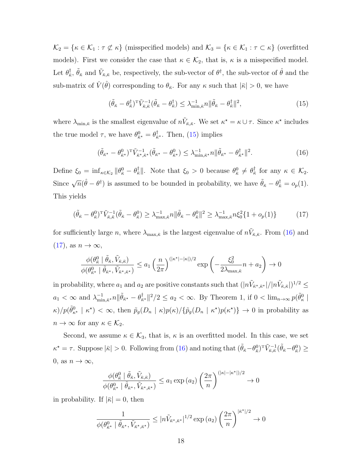$\mathcal{K}_2 = \{\kappa \in \mathcal{K}_1 : \tau \not\subset \kappa\}$  (misspecified models) and  $\mathcal{K}_3 = \{\kappa \in \mathcal{K}_1 : \tau \subset \kappa\}$  (overfitted models). First we consider the case that  $\kappa \in \mathcal{K}_2$ , that is,  $\kappa$  is a misspecified model. Let  $\theta_{\bar{\kappa}}^{\dagger}$  $\frac{\dagger}{\kappa}$ ,  $\tilde{\theta}_{\bar{\kappa}}$  and  $\tilde{V}_{\bar{\kappa},\bar{\kappa}}$  be, respectively, the sub-vector of  $\theta^{\dagger}$ , the sub-vector of  $\hat{\theta}$  and the sub-matrix of  $\hat{V}(\hat{\theta})$  corresponding to  $\theta_{\bar{\kappa}}$ . For any  $\kappa$  such that  $|\bar{\kappa}| > 0$ , we have

$$
(\tilde{\theta}_{\bar{\kappa}} - \theta_{\bar{\kappa}}^{\dagger})^{\mathrm{T}} \tilde{V}_{\bar{\kappa},\bar{\kappa}}^{-1} (\tilde{\theta}_{\bar{\kappa}} - \theta_{\bar{\kappa}}^{\dagger}) \leq \lambda_{\min,\bar{\kappa}}^{-1} n \|\tilde{\theta}_{\bar{\kappa}} - \theta_{\bar{\kappa}}^{\dagger}\|^2, \tag{15}
$$

where  $\lambda_{\min,\bar{\kappa}}$  is the smallest eigenvalue of  $n\tilde{V}_{\bar{\kappa},\bar{\kappa}}$ . We set  $\kappa^* = \kappa \cup \tau$ . Since  $\kappa^*$  includes the true model  $\tau$ , we have  $\theta_{\bar{\kappa}^*}^0 = \theta_{\bar{\kappa}}^{\dagger}$  $\frac{1}{\kappa^*}$ . Then, (15) implies

$$
(\tilde{\theta}_{\bar{\kappa}^{\star}} - \theta_{\bar{\kappa}^{\star}}^0)^{\mathrm{T}} \tilde{V}_{\bar{\kappa}^{\star},\bar{\kappa}^{\star}}^{-1} (\tilde{\theta}_{\bar{\kappa}^{\star}} - \theta_{\bar{\kappa}^{\star}}^0) \leq \lambda_{\min,\bar{\kappa}^{\star}}^{-1} n \|\tilde{\theta}_{\bar{\kappa}^{\star}} - \theta_{\bar{\kappa}^{\star}}^1\|^2. \tag{16}
$$

Define  $\xi_0 = \inf_{\kappa \in \mathcal{K}_2} \|\theta_{\bar{\kappa}}^0 - \theta_{\bar{\kappa}}^{\dagger}\|$ . Note that  $\xi_0 > 0$  because  $\theta_{\bar{\kappa}}^0 \neq \theta_{\bar{\kappa}}^{\dagger}$  $\frac{1}{\kappa}$  for any  $\kappa \in \mathcal{K}_2$ . Since  $\sqrt{n}(\hat{\theta} - \theta^{\dagger})$  is assumed to be bounded in probability, we have  $\tilde{\theta}_{\bar{\kappa}} - \theta^{\dagger}_{\bar{\kappa}} = o_p(1)$ . This yields

$$
(\tilde{\theta}_{\bar{\kappa}} - \theta_{\bar{\kappa}}^0)^{\mathrm{T}} \tilde{V}_{\bar{\kappa},\bar{\kappa}}^{-1} (\tilde{\theta}_{\bar{\kappa}} - \theta_{\bar{\kappa}}^0) \ge \lambda_{\max,\bar{\kappa}}^{-1} n \|\tilde{\theta}_{\bar{\kappa}} - \theta_{\bar{\kappa}}^0\|^2 \ge \lambda_{\max,\bar{\kappa}}^{-1} n \xi_0^2 \{1 + o_p(1)\} \tag{17}
$$

for sufficiently large n, where  $\lambda_{\max,\bar{\kappa}}$  is the largest eigenvalue of  $n\tilde{V}_{\bar{\kappa},\bar{\kappa}}$ . From (16) and  $(17)$ , as  $n \to \infty$ ,

$$
\frac{\phi(\theta_{\bar{\kappa}}^0 \mid \tilde{\theta}_{\bar{\kappa}}, \tilde{V}_{\bar{\kappa},\bar{\kappa}})}{\phi(\theta_{\bar{\kappa}}^0 \mid \tilde{\theta}_{\bar{\kappa}}, \tilde{V}_{\bar{\kappa}^*,\bar{\kappa}^*})} \le a_1 \left(\frac{n}{2\pi}\right)^{(|\kappa^*| - |\kappa|)/2} \exp\left(-\frac{\xi_0^2}{2\lambda_{\max,\bar{\kappa}}}n + a_2\right) \to 0
$$

in probability, where  $a_1$  and  $a_2$  are positive constants such that  $(|n\tilde{V}_{\vec{\kappa}^\star,\vec{\kappa}^\star}|/|n\tilde{V}_{\vec{\kappa},\vec{\kappa}}|)^{1/2} \leq$  $a_1 < \infty$  and  $\lambda_{\min}^{-1}$  $\frac{-1}{\min,\bar{\kappa}^{\star}}n\|\tilde{\theta}_{\bar{\kappa}^{\star}}-\theta^{\dagger}_{\bar{\kappa}}$  $\frac{1}{\kappa^*}$ ||<sup>2</sup>/2  $\le a_2 < \infty$ . By Theorem 1, if  $0 < \lim_{n \to \infty} p(\tilde{\theta}_\kappa^0|)$  $\kappa$ )/ $p(\tilde{\theta}_{\kappa^*}^0 \mid \kappa^*) < \infty$ , then  $\tilde{p}_g(D_n \mid \kappa)p(\kappa)/\{\tilde{p}_g(D_n \mid \kappa^*)p(\kappa^*)\} \to 0$  in probability as  $n \to \infty$  for any  $\kappa \in \mathcal{K}_2$ .

Second, we assume  $\kappa \in \mathcal{K}_3$ , that is,  $\kappa$  is an overfitted model. In this case, we set  $\kappa^* = \tau$ . Suppose  $|\bar{\kappa}| > 0$ . Following from (16) and noting that  $(\tilde{\theta}_{\bar{\kappa}} - \theta_{\bar{\kappa}}^0)^{\mathrm{T}} \tilde{V}_{\bar{\kappa},\bar{\kappa}}^{-1} (\tilde{\theta}_{\bar{\kappa}} - \theta_{\bar{\kappa}}^0) \ge$ 0, as  $n \to \infty$ ,

$$
\frac{\phi(\theta_{\bar{\kappa}}^0 \mid \tilde{\theta}_{\bar{\kappa}}, \tilde{V}_{\bar{\kappa},\bar{\kappa}})}{\phi(\theta_{\bar{\kappa}}^0 \mid \tilde{\theta}_{\bar{\kappa}^{\star}}, \tilde{V}_{\bar{\kappa}^{\star},\bar{\kappa}^{\star}})} \le a_1 \exp(a_2) \left(\frac{2\pi}{n}\right)^{(|\kappa| - |\kappa^{\star}|)/2} \to 0
$$

in probability. If  $|\bar{\kappa}| = 0$ , then

$$
\frac{1}{\phi(\theta_{\bar{\kappa}^{\star}}^0 \mid \tilde{\theta}_{\bar{\kappa}^{\star}}, \tilde{V}_{\bar{\kappa}^{\star}, \bar{\kappa}^{\star}})} \leq |n\tilde{V}_{\bar{\kappa}^{\star}, \bar{\kappa}^{\star}}|^{1/2} \exp(a_2) \left(\frac{2\pi}{n}\right)^{|\bar{\kappa}^{\star}|/2} \to 0
$$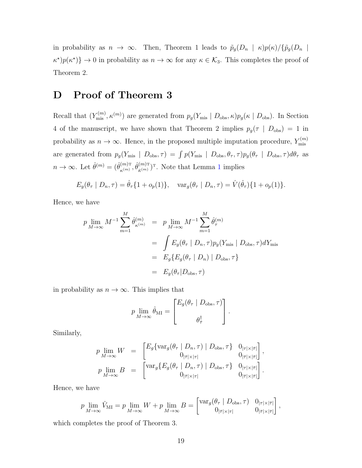<span id="page-18-0"></span>in probability as  $n \to \infty$ . Then, Theorem 1 leads to  $\tilde{p}_g(D_n \mid \kappa) p(\kappa) / {\{\tilde{p}_g(D_n \mid \kappa)\}}$  $\kappa^{\star}$ ) $p(\kappa^{\star})$ }  $\to$  0 in probability as  $n \to \infty$  for any  $\kappa \in \mathcal{K}_3$ . This completes the proof of Theorem 2.

# D Proof of Theorem 3

Recall that  $(Y_{\text{mis}}^{(m)}, \kappa^{(m)})$  are generated from  $p_g(Y_{\text{mis}} | D_{\text{obs}}, \kappa)p_g(\kappa | D_{\text{obs}})$ . In Section 4 of the manuscript, we have shown that Theorem 2 implies  $p_g(\tau | D_{obs}) = 1$  in probability as  $n \to \infty$ . Hence, in the proposed multiple imputation procedure,  $Y_{\text{mis}}^{(m)}$ mis are generated from  $p_g(Y_{\text{mis}} \mid D_{\text{obs}}, \tau) = \int p(Y_{\text{mis}} \mid D_{\text{obs}}, \theta_{\tau}, \tau) p_g(\theta_{\tau} \mid D_{\text{obs}}, \tau) d\theta_{\tau}$  as  $n \to \infty$ . Let  $\hat{\theta}^{(m)} = (\hat{\theta}_{\kappa(m)}^{(m)\text{T}})$  $_{\kappa^{(m)}}^{(m)\text{\tiny T}}, \hat{\theta}_{\bar{\kappa}^{(m)}}^{(m)\text{\tiny T}}$  $\binom{(m)!}{\bar{\kappa}^{(m)}}$ <sup>T</sup>. Note that Lemma [1](#page-14-0) implies

$$
E_g(\theta_\tau \mid D_n, \tau) = \hat{\theta}_\tau \{1 + o_p(1)\}, \quad \text{var}_g(\theta_\tau \mid D_n, \tau) = \hat{V}(\hat{\theta}_\tau) \{1 + o_p(1)\}.
$$

Hence, we have

$$
p \lim_{M \to \infty} M^{-1} \sum_{m=1}^{M} \hat{\theta}_{\kappa^{(m)}}^{(m)} = p \lim_{M \to \infty} M^{-1} \sum_{m=1}^{M} \hat{\theta}_{\tau}^{(m)}
$$
  

$$
= \int E_g(\theta_{\tau} | D_n, \tau) p_g(Y_{\text{mis}} | D_{\text{obs}}, \tau) dY_{\text{mis}}
$$
  

$$
= E_g\{E_g(\theta_{\tau} | D_n) | D_{\text{obs}}, \tau\}
$$
  

$$
= E_g(\theta_{\tau} | D_{\text{obs}}, \tau)
$$

in probability as  $n \to \infty$ . This implies that

$$
p \lim_{M \to \infty} \hat{\theta}_{\text{MI}} = \begin{bmatrix} E_g(\theta_\tau \mid D_{\text{obs}}, \tau) \\ \theta_\tau^{\dagger} \end{bmatrix}.
$$

Similarly,

$$
p \lim_{M \to \infty} W = \begin{bmatrix} E_g \{ \text{var}_g(\theta_\tau \mid D_n, \tau) \mid D_{\text{obs}}, \tau \} & 0_{|\tau| \times |\bar{\tau}|} \\ 0_{|\bar{\tau}| \times |\tau|} & 0_{|\bar{\tau}| \times |\bar{\tau}|} \end{bmatrix},
$$
  
\n
$$
p \lim_{M \to \infty} B = \begin{bmatrix} \text{var}_g \{ E_g(\theta_\tau \mid D_n, \tau) \mid D_{\text{obs}}, \tau \} & 0_{|\tau| \times |\bar{\tau}|} \\ 0_{|\bar{\tau}| \times |\tau|} & 0_{|\bar{\tau}| \times |\bar{\tau}|} \end{bmatrix}.
$$

Hence, we have

$$
p \lim_{M \to \infty} \hat{V}_{\mathrm{MI}} = p \lim_{M \to \infty} W + p \lim_{M \to \infty} B = \begin{bmatrix} \text{var}_g(\theta_\tau \mid D_{\mathrm{obs}}, \tau) & 0_{|\tau| \times |\bar{\tau}|} \\ 0_{|\bar{\tau}| \times |\tau|} & 0_{|\bar{\tau}| \times |\bar{\tau}|} \end{bmatrix},
$$

which completes the proof of Theorem 3.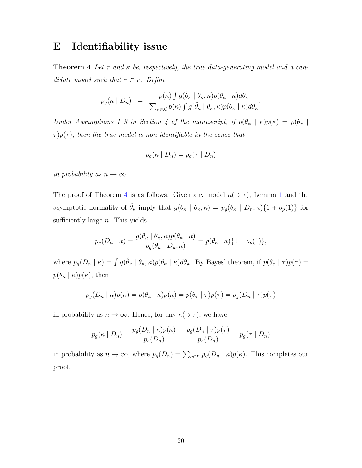# <span id="page-19-0"></span>E Identifiability issue

**Theorem 4** Let  $\tau$  and  $\kappa$  be, respectively, the true data-generating model and a candidate model such that  $\tau \subset \kappa$ . Define

$$
p_g(\kappa \mid D_n) = \frac{p(\kappa) \int g(\hat{\theta}_{\kappa} \mid \theta_{\kappa}, \kappa) p(\theta_{\kappa} \mid \kappa) d\theta_{\kappa}}{\sum_{\kappa \in \mathcal{K}} p(\kappa) \int g(\hat{\theta}_{\kappa} \mid \theta_{\kappa}, \kappa) p(\theta_{\kappa} \mid \kappa) d\theta_{\kappa}}.
$$

Under Assumptions 1–3 in Section 4 of the manuscript, if  $p(\theta_{\kappa} \mid \kappa)p(\kappa) = p(\theta_{\tau} \mid$  $\tau$ ) $p(\tau)$ , then the true model is non-identifiable in the sense that

$$
p_g(\kappa \mid D_n) = p_g(\tau \mid D_n)
$$

in probability as  $n \to \infty$ .

The proof of Theorem 4 is as follows. Given any model  $\kappa(\supset \tau)$ , Lemma [1](#page-14-0) and the asymptotic normality of  $\hat{\theta}_{\kappa}$  imply that  $g(\hat{\theta}_{\kappa} \mid \theta_{\kappa}, \kappa) = p_g(\theta_{\kappa} \mid D_n, \kappa) \{1 + o_p(1)\}\)$  for sufficiently large  $n$ . This yields

$$
p_g(D_n \mid \kappa) = \frac{g(\hat{\theta}_{\kappa} \mid \theta_{\kappa}, \kappa)p(\theta_{\kappa} \mid \kappa)}{p_g(\theta_{\kappa} \mid D_n, \kappa)} = p(\theta_{\kappa} \mid \kappa)\{1 + o_p(1)\},
$$

where  $p_g(D_n | \kappa) = \int g(\hat{\theta}_{\kappa} | \theta_{\kappa}, \kappa) p(\theta_{\kappa} | \kappa) d\theta_{\kappa}$ . By Bayes' theorem, if  $p(\theta_{\tau} | \tau) p(\tau) =$  $p(\theta_{\kappa} \mid \kappa)p(\kappa)$ , then

$$
p_g(D_n \mid \kappa)p(\kappa) = p(\theta_\kappa \mid \kappa)p(\kappa) = p(\theta_\tau \mid \tau)p(\tau) = p_g(D_n \mid \tau)p(\tau)
$$

in probability as  $n \to \infty$ . Hence, for any  $\kappa(\supset \tau)$ , we have

$$
p_g(\kappa \mid D_n) = \frac{p_g(D_n \mid \kappa)p(\kappa)}{p_g(D_n)} = \frac{p_g(D_n \mid \tau)p(\tau)}{p_g(D_n)} = p_g(\tau \mid D_n)
$$

in probability as  $n \to \infty$ , where  $p_g(D_n) = \sum_{\kappa \in \mathcal{K}} p_g(D_n | \kappa) p(\kappa)$ . This completes our proof.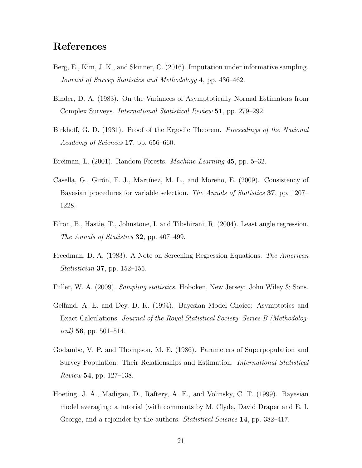# <span id="page-20-0"></span>References

- Berg, E., Kim, J. K., and Skinner, C. (2016). Imputation under informative sampling. Journal of Survey Statistics and Methodology 4, pp. 436–462.
- Binder, D. A. (1983). On the Variances of Asymptotically Normal Estimators from Complex Surveys. International Statistical Review 51, pp. 279–292.
- Birkhoff, G. D. (1931). Proof of the Ergodic Theorem. *Proceedings of the National* Academy of Sciences 17, pp. 656–660.
- Breiman, L. (2001). Random Forests. *Machine Learning* 45, pp. 5–32.
- Casella, G., Girón, F. J., Martínez, M. L., and Moreno, E. (2009). Consistency of Bayesian procedures for variable selection. The Annals of Statistics 37, pp. 1207– 1228.
- Efron, B., Hastie, T., Johnstone, I. and Tibshirani, R. (2004). Least angle regression. The Annals of Statistics 32, pp. 407–499.
- Freedman, D. A. (1983). A Note on Screening Regression Equations. The American Statistician 37, pp. 152–155.
- Fuller, W. A. (2009). *Sampling statistics*. Hoboken, New Jersey: John Wiley & Sons.
- Gelfand, A. E. and Dey, D. K. (1994). Bayesian Model Choice: Asymptotics and Exact Calculations. Journal of the Royal Statistical Society. Series B (Methodolog*ical*) **56**, pp. 501–514.
- Godambe, V. P. and Thompson, M. E. (1986). Parameters of Superpopulation and Survey Population: Their Relationships and Estimation. International Statistical Review 54, pp. 127–138.
- Hoeting, J. A., Madigan, D., Raftery, A. E., and Volinsky, C. T. (1999). Bayesian model averaging: a tutorial (with comments by M. Clyde, David Draper and E. I. George, and a rejoinder by the authors. *Statistical Science* 14, pp. 382–417.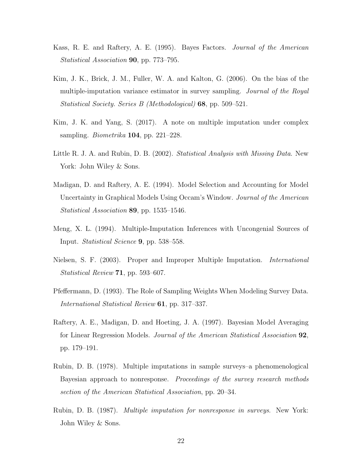- <span id="page-21-0"></span>Kass, R. E. and Raftery, A. E. (1995). Bayes Factors. Journal of the American Statistical Association 90, pp. 773–795.
- Kim, J. K., Brick, J. M., Fuller, W. A. and Kalton, G. (2006). On the bias of the multiple-imputation variance estimator in survey sampling. Journal of the Royal Statistical Society. Series B (Methodological) 68, pp. 509–521.
- Kim, J. K. and Yang, S. (2017). A note on multiple imputation under complex sampling. Biometrika 104, pp. 221–228.
- Little R. J. A. and Rubin, D. B. (2002). Statistical Analysis with Missing Data. New York: John Wiley & Sons.
- Madigan, D. and Raftery, A. E. (1994). Model Selection and Accounting for Model Uncertainty in Graphical Models Using Occam's Window. Journal of the American Statistical Association 89, pp. 1535–1546.
- Meng, X. L. (1994). Multiple-Imputation Inferences with Uncongenial Sources of Input. Statistical Science 9, pp. 538–558.
- Nielsen, S. F. (2003). Proper and Improper Multiple Imputation. International Statistical Review 71, pp. 593–607.
- Pfeffermann, D. (1993). The Role of Sampling Weights When Modeling Survey Data. International Statistical Review 61, pp. 317–337.
- Raftery, A. E., Madigan, D. and Hoeting, J. A. (1997). Bayesian Model Averaging for Linear Regression Models. Journal of the American Statistical Association 92, pp. 179–191.
- Rubin, D. B. (1978). Multiple imputations in sample surveys–a phenomenological Bayesian approach to nonresponse. Proceedings of the survey research methods section of the American Statistical Association, pp. 20–34.
- Rubin, D. B. (1987). Multiple imputation for nonresponse in surveys. New York: John Wiley & Sons.